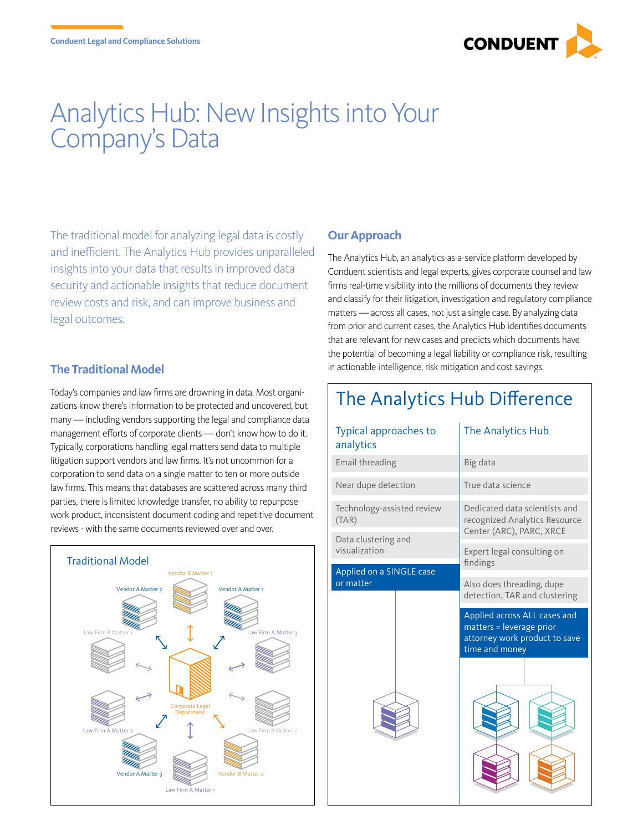

## Analytics Hub: New Insights into Your Company's Data

The traditional model for analyzing legal data is costly and inefficient. The Analytics Hub provides unparalleled insights into your data that results in improved data security and actionable insights that reduce document review costs and risk, and can improve business and legal outcomes.

## **The Traditional Model**

Today's companies and law firms are drowning in data. Most organizations know there's information to be protected and uncovered, but many — including vendors supporting the legal and compliance data management efforts of corporate clients — don't know how to do it. Typically, corporations handling legal matters send data to multiple litigation support vendors and law firms. It's not uncommon for a corporation to send data on a single matter to ten or more outside law firms. This means that databases are scattered across many third parties, there is limited knowledge transfer, no ability to repurpose work product, inconsistent document coding and repetitive document reviews - with the same documents reviewed over and over.



## **Our Approach**

 $\sqrt{ }$ 

The Analytics Hub, an analytics-as-a-service platform developed by Conduent scientists and legal experts, gives corporate counsel and law firms real-time visibility into the millions of documents they review and classify for their litigation, investigation and regulatory compliance matters — across all cases, not just a single case. By analyzing data from prior and current cases, the Analytics Hub identifies documents that are relevant for new cases and predicts which documents have the potential of becoming a legal liability or compliance risk, resulting in actionable intelligence, risk mitigation and cost savings.

| The Analytics Hub Difference          |                                                                                                             |  |
|---------------------------------------|-------------------------------------------------------------------------------------------------------------|--|
| Typical approaches to<br>analytics    | The Analytics Hub                                                                                           |  |
| Email threading                       | Big data                                                                                                    |  |
| Near dupe detection                   | True data science                                                                                           |  |
| Technology-assisted review<br>(TAR)   | Dedicated data scientists and<br>recognized Analytics Resource<br>Center (ARC), PARC, XRCE                  |  |
| Data clustering and<br>visualization  | Expert legal consulting on<br>findings                                                                      |  |
| Applied on a SINGLE case<br>or matter | Also does threading, dupe                                                                                   |  |
|                                       | detection, TAR and clustering                                                                               |  |
|                                       | Applied across ALL cases and<br>matters = leverage prior<br>attorney work product to save<br>time and money |  |
|                                       |                                                                                                             |  |